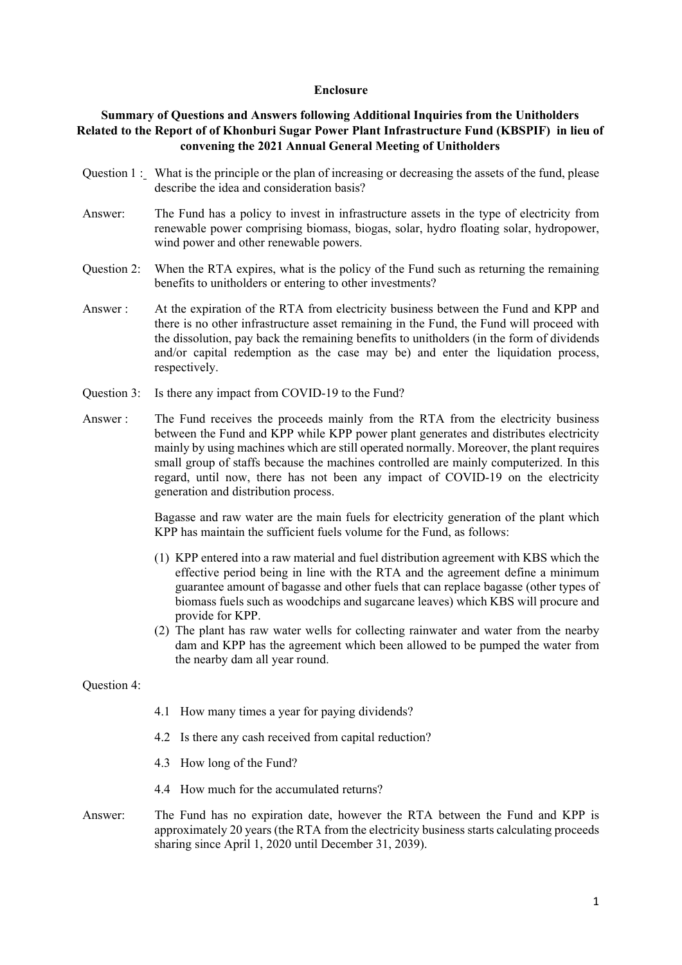## **Enclosure**

## **Summary of Questions and Answers following Additional Inquiries from the Unitholders Related to the Report of of Khonburi Sugar Power Plant Infrastructure Fund (KBSPIF) in lieu of convening the 2021 Annual General Meeting of Unitholders**

- Question 1: What is the principle or the plan of increasing or decreasing the assets of the fund, please describe the idea and consideration basis?
- Answer: The Fund has a policy to invest in infrastructure assets in the type of electricity from renewable power comprising biomass, biogas, solar, hydro floating solar, hydropower, wind power and other renewable powers.
- Question 2: When the RTA expires, what is the policy of the Fund such as returning the remaining benefits to unitholders or entering to other investments?
- Answer : At the expiration of the RTA from electricity business between the Fund and KPP and there is no other infrastructure asset remaining in the Fund, the Fund will proceed with the dissolution, pay back the remaining benefits to unitholders (in the form of dividends and/or capital redemption as the case may be) and enter the liquidation process, respectively.
- Question 3: Is there any impact from COVID-19 to the Fund?
- Answer : The Fund receives the proceeds mainly from the RTA from the electricity business between the Fund and KPP while KPP power plant generates and distributes electricity mainly by using machines which are still operated normally. Moreover, the plant requires small group of staffs because the machines controlled are mainly computerized. In this regard, until now, there has not been any impact of COVID-19 on the electricity generation and distribution process.

 Bagasse and raw water are the main fuels for electricity generation of the plant which KPP has maintain the sufficient fuels volume for the Fund, as follows:

- (1) KPP entered into a raw material and fuel distribution agreement with KBS which the effective period being in line with the RTA and the agreement define a minimum guarantee amount of bagasse and other fuels that can replace bagasse (other types of biomass fuels such as woodchips and sugarcane leaves) which KBS will procure and provide for KPP.
- (2) The plant has raw water wells for collecting rainwater and water from the nearby dam and KPP has the agreement which been allowed to be pumped the water from the nearby dam all year round.

Question 4:

- 4.1 How many times a year for paying dividends?
- 4.2 Is there any cash received from capital reduction?
- 4.3 How long of the Fund?
- 4.4 How much for the accumulated returns?
- Answer: The Fund has no expiration date, however the RTA between the Fund and KPP is approximately 20 years (the RTA from the electricity business starts calculating proceeds sharing since April 1, 2020 until December 31, 2039).